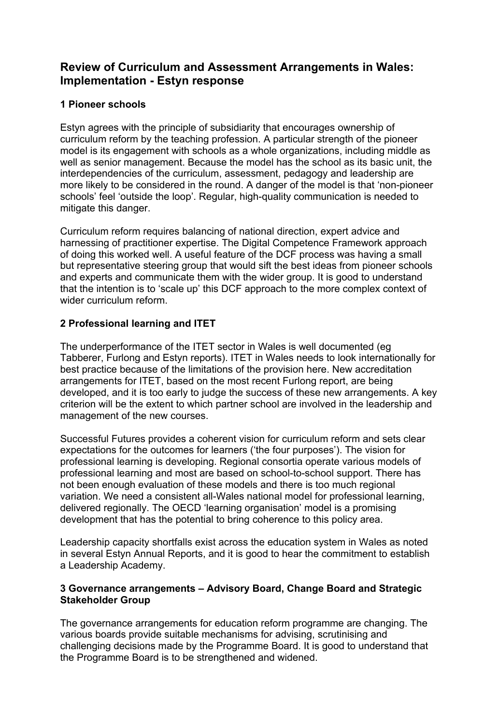# **Review of Curriculum and Assessment Arrangements in Wales: Implementation - Estyn response**

### **1 Pioneer schools**

Estyn agrees with the principle of subsidiarity that encourages ownership of curriculum reform by the teaching profession. A particular strength of the pioneer model is its engagement with schools as a whole organizations, including middle as well as senior management. Because the model has the school as its basic unit, the interdependencies of the curriculum, assessment, pedagogy and leadership are more likely to be considered in the round. A danger of the model is that 'non-pioneer schools' feel 'outside the loop'. Regular, high-quality communication is needed to mitigate this danger.

Curriculum reform requires balancing of national direction, expert advice and harnessing of practitioner expertise. The Digital Competence Framework approach of doing this worked well. A useful feature of the DCF process was having a small but representative steering group that would sift the best ideas from pioneer schools and experts and communicate them with the wider group. It is good to understand that the intention is to 'scale up' this DCF approach to the more complex context of wider curriculum reform.

## **2 Professional learning and ITET**

The underperformance of the ITET sector in Wales is well documented (eg Tabberer, Furlong and Estyn reports). ITET in Wales needs to look internationally for best practice because of the limitations of the provision here. New accreditation arrangements for ITET, based on the most recent Furlong report, are being developed, and it is too early to judge the success of these new arrangements. A key criterion will be the extent to which partner school are involved in the leadership and management of the new courses.

Successful Futures provides a coherent vision for curriculum reform and sets clear expectations for the outcomes for learners ('the four purposes'). The vision for professional learning is developing. Regional consortia operate various models of professional learning and most are based on school-to-school support. There has not been enough evaluation of these models and there is too much regional variation. We need a consistent all-Wales national model for professional learning, delivered regionally. The OECD 'learning organisation' model is a promising development that has the potential to bring coherence to this policy area.

Leadership capacity shortfalls exist across the education system in Wales as noted in several Estyn Annual Reports, and it is good to hear the commitment to establish a Leadership Academy.

### **3 Governance arrangements – Advisory Board, Change Board and Strategic Stakeholder Group**

The governance arrangements for education reform programme are changing. The various boards provide suitable mechanisms for advising, scrutinising and challenging decisions made by the Programme Board. It is good to understand that the Programme Board is to be strengthened and widened.